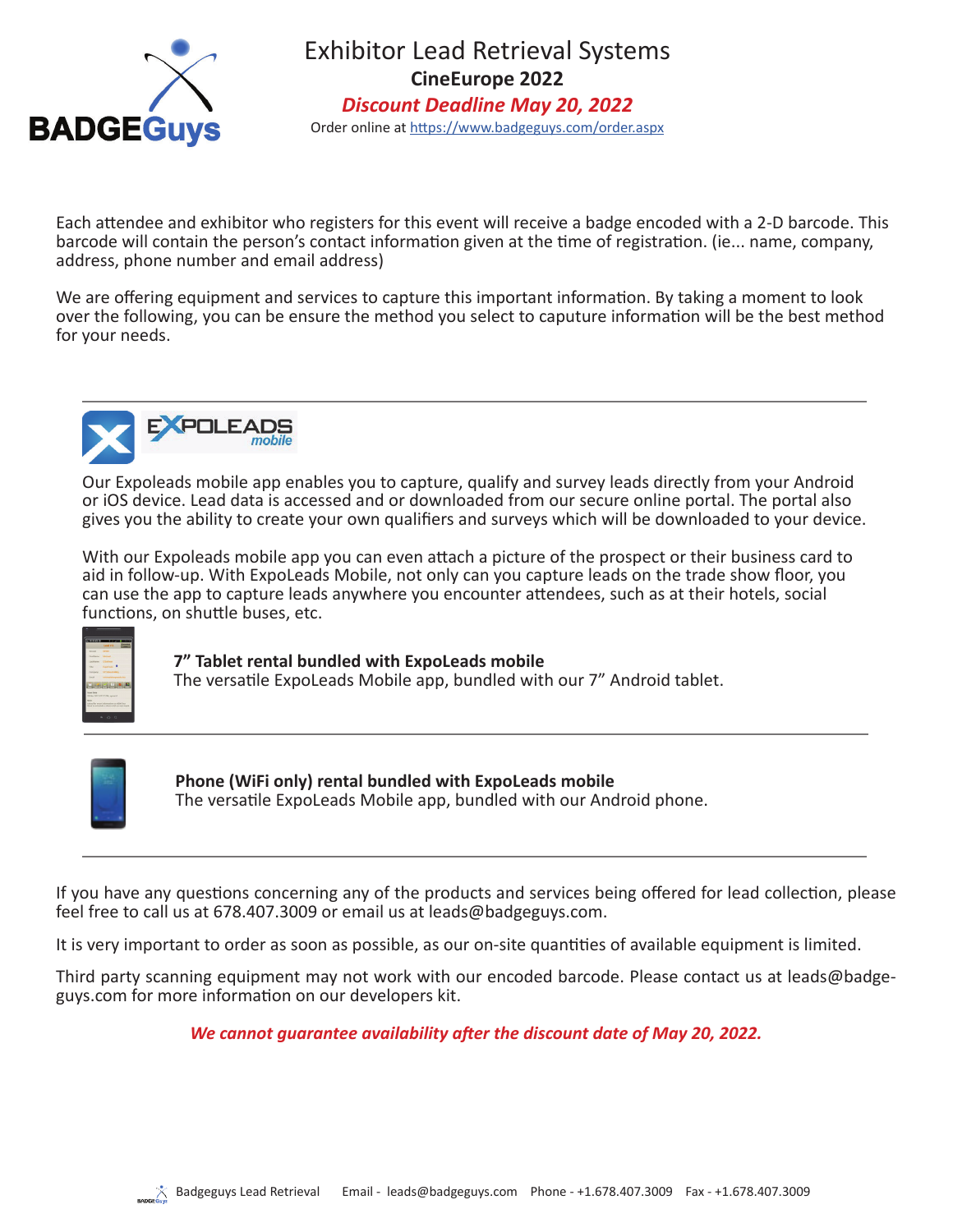

Exhibitor Lead Retrieval Systems **CineEurope 2022** *Discount Deadline May 20, 2022* Order online at https://www.badgeguys.com/order.aspx

Each attendee and exhibitor who registers for this event will receive a badge encoded with a 2-D barcode. This barcode will contain the person's contact information given at the time of registration. (ie... name. company. address, phone number and email address)

We are offering equipment and services to capture this important information. By taking a moment to look over the following, you can be ensure the method you select to caputure information will be the best method for your needs.



Our Expoleads mobile app enables you to capture, qualify and survey leads directly from your Android or iOS device. Lead data is accessed and or downloaded from our secure online portal. The portal also gives you the ability to create your own qualifiers and surveys which will be downloaded to your device.

With our Expoleads mobile app you can even attach a picture of the prospect or their business card to aid in follow-up. With ExpoLeads Mobile, not only can you capture leads on the trade show floor, you can use the app to capture leads anywhere you encounter attendees, such as at their hotels, social functions, on shuttle buses, etc.



**7" Tablet rental bundled with ExpoLeads mobile**

The versatile ExpoLeads Mobile app, bundled with our 7" Android tablet.



**Phone (WiFi only) rental bundled with ExpoLeads mobile** The versatile ExpoLeads Mobile app, bundled with our Android phone.

If you have any questions concerning any of the products and services being offered for lead collection, please feel free to call us at 678.407.3009 or email us at leads@badgeguys.com.

It is very important to order as soon as possible, as our on-site quantities of available equipment is limited.

Third party scanning equipment may not work with our encoded barcode. Please contact us at leads@badgeguys.com for more information on our developers kit.

*We cannot guarantee availability after the discount date of May 20, 2022.*